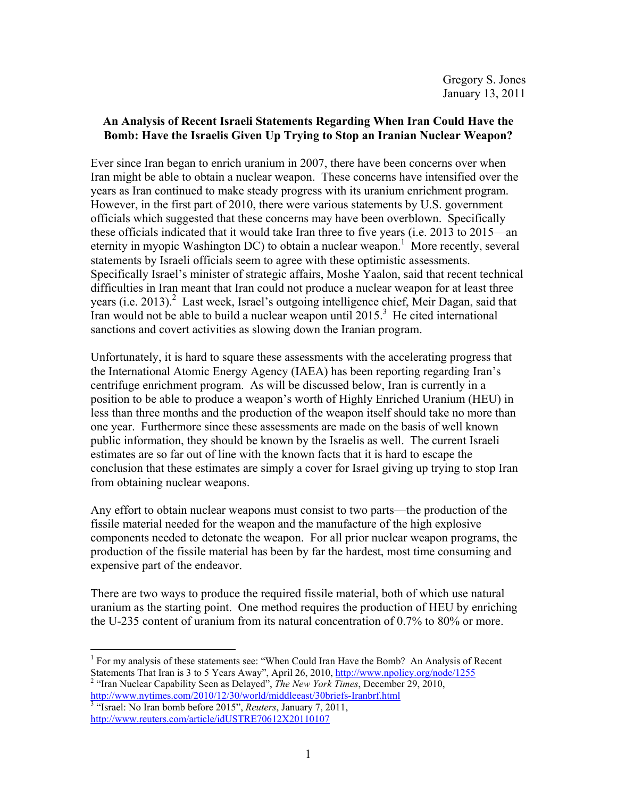## **An Analysis of Recent Israeli Statements Regarding When Iran Could Have the Bomb: Have the Israelis Given Up Trying to Stop an Iranian Nuclear Weapon?**

Ever since Iran began to enrich uranium in 2007, there have been concerns over when Iran might be able to obtain a nuclear weapon. These concerns have intensified over the years as Iran continued to make steady progress with its uranium enrichment program. However, in the first part of 2010, there were various statements by U.S. government officials which suggested that these concerns may have been overblown. Specifically these officials indicated that it would take Iran three to five years (i.e. 2013 to 2015—an eternity in myopic Washington DC) to obtain a nuclear weapon.<sup>1</sup> More recently, several statements by Israeli officials seem to agree with these optimistic assessments. Specifically Israel's minister of strategic affairs, Moshe Yaalon, said that recent technical difficulties in Iran meant that Iran could not produce a nuclear weapon for at least three years (i.e. 2013).<sup>2</sup> Last week, Israel's outgoing intelligence chief, Meir Dagan, said that Iran would not be able to build a nuclear weapon until  $2015$ <sup>3</sup>. He cited international sanctions and covert activities as slowing down the Iranian program.

Unfortunately, it is hard to square these assessments with the accelerating progress that the International Atomic Energy Agency (IAEA) has been reporting regarding Iran's centrifuge enrichment program. As will be discussed below, Iran is currently in a position to be able to produce a weapon's worth of Highly Enriched Uranium (HEU) in less than three months and the production of the weapon itself should take no more than one year. Furthermore since these assessments are made on the basis of well known public information, they should be known by the Israelis as well. The current Israeli estimates are so far out of line with the known facts that it is hard to escape the conclusion that these estimates are simply a cover for Israel giving up trying to stop Iran from obtaining nuclear weapons.

Any effort to obtain nuclear weapons must consist to two parts—the production of the fissile material needed for the weapon and the manufacture of the high explosive components needed to detonate the weapon. For all prior nuclear weapon programs, the production of the fissile material has been by far the hardest, most time consuming and expensive part of the endeavor.

There are two ways to produce the required fissile material, both of which use natural uranium as the starting point. One method requires the production of HEU by enriching the U-235 content of uranium from its natural concentration of 0.7% to 80% or more.

 $\overline{a}$ <sup>1</sup> For my analysis of these statements see: "When Could Iran Have the Bomb? An Analysis of Recent Statements That Iran is 3 to 5 Years Away", April 26, 2010, <u>http://www.npolicy.org/node/1255</u> <sup>2</sup> "Iran Nuclear Capability Seen as Delayed", *The New York Times*, December 29, 2010,

http://www.nytimes.com/2010/12/30/world/middleeast/30briefs-Iranbrf.html 3 <sup>3</sup> "Israel: No Iran bomb before 2015", *Reuters*, January 7, 2011,

http://www.reuters.com/article/idUSTRE70612X20110107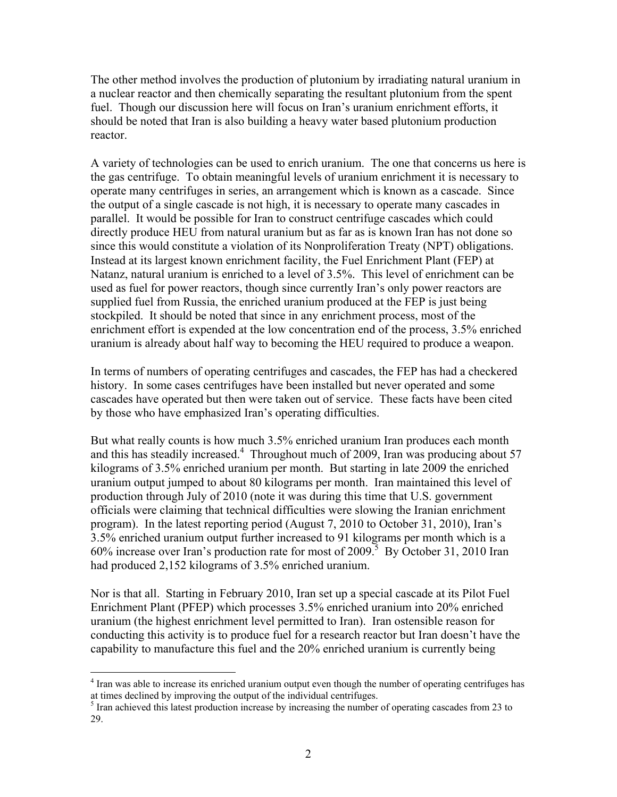The other method involves the production of plutonium by irradiating natural uranium in a nuclear reactor and then chemically separating the resultant plutonium from the spent fuel. Though our discussion here will focus on Iran's uranium enrichment efforts, it should be noted that Iran is also building a heavy water based plutonium production reactor.

A variety of technologies can be used to enrich uranium. The one that concerns us here is the gas centrifuge. To obtain meaningful levels of uranium enrichment it is necessary to operate many centrifuges in series, an arrangement which is known as a cascade. Since the output of a single cascade is not high, it is necessary to operate many cascades in parallel. It would be possible for Iran to construct centrifuge cascades which could directly produce HEU from natural uranium but as far as is known Iran has not done so since this would constitute a violation of its Nonproliferation Treaty (NPT) obligations. Instead at its largest known enrichment facility, the Fuel Enrichment Plant (FEP) at Natanz, natural uranium is enriched to a level of 3.5%. This level of enrichment can be used as fuel for power reactors, though since currently Iran's only power reactors are supplied fuel from Russia, the enriched uranium produced at the FEP is just being stockpiled. It should be noted that since in any enrichment process, most of the enrichment effort is expended at the low concentration end of the process, 3.5% enriched uranium is already about half way to becoming the HEU required to produce a weapon.

In terms of numbers of operating centrifuges and cascades, the FEP has had a checkered history. In some cases centrifuges have been installed but never operated and some cascades have operated but then were taken out of service. These facts have been cited by those who have emphasized Iran's operating difficulties.

But what really counts is how much 3.5% enriched uranium Iran produces each month and this has steadily increased. $4$  Throughout much of 2009, Iran was producing about 57 kilograms of 3.5% enriched uranium per month. But starting in late 2009 the enriched uranium output jumped to about 80 kilograms per month. Iran maintained this level of production through July of 2010 (note it was during this time that U.S. government officials were claiming that technical difficulties were slowing the Iranian enrichment program). In the latest reporting period (August 7, 2010 to October 31, 2010), Iran's 3.5% enriched uranium output further increased to 91 kilograms per month which is a 60% increase over Iran's production rate for most of 2009.<sup>5</sup> By October 31, 2010 Iran had produced 2,152 kilograms of 3.5% enriched uranium.

Nor is that all. Starting in February 2010, Iran set up a special cascade at its Pilot Fuel Enrichment Plant (PFEP) which processes 3.5% enriched uranium into 20% enriched uranium (the highest enrichment level permitted to Iran). Iran ostensible reason for conducting this activity is to produce fuel for a research reactor but Iran doesn't have the capability to manufacture this fuel and the 20% enriched uranium is currently being

 $\overline{a}$ 

<sup>&</sup>lt;sup>4</sup> Iran was able to increase its enriched uranium output even though the number of operating centrifuges has at times declined by improving the output of the individual centrifuges.

 $<sup>5</sup>$  Iran achieved this latest production increase by increasing the number of operating cascades from 23 to</sup> 29.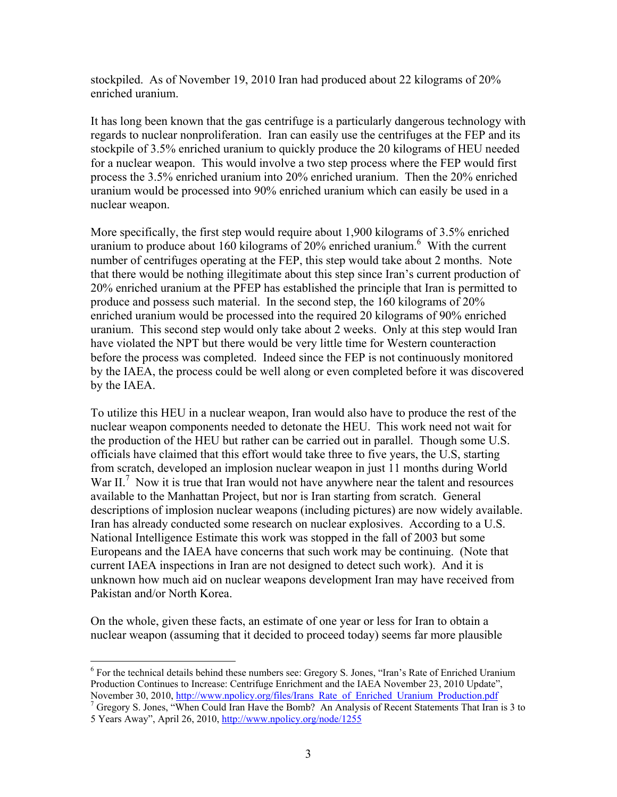stockpiled. As of November 19, 2010 Iran had produced about 22 kilograms of 20% enriched uranium.

It has long been known that the gas centrifuge is a particularly dangerous technology with regards to nuclear nonproliferation. Iran can easily use the centrifuges at the FEP and its stockpile of 3.5% enriched uranium to quickly produce the 20 kilograms of HEU needed for a nuclear weapon. This would involve a two step process where the FEP would first process the 3.5% enriched uranium into 20% enriched uranium. Then the 20% enriched uranium would be processed into 90% enriched uranium which can easily be used in a nuclear weapon.

More specifically, the first step would require about 1,900 kilograms of 3.5% enriched uranium to produce about 160 kilograms of 20% enriched uranium.<sup>6</sup> With the current number of centrifuges operating at the FEP, this step would take about 2 months. Note that there would be nothing illegitimate about this step since Iran's current production of 20% enriched uranium at the PFEP has established the principle that Iran is permitted to produce and possess such material. In the second step, the 160 kilograms of 20% enriched uranium would be processed into the required 20 kilograms of 90% enriched uranium. This second step would only take about 2 weeks. Only at this step would Iran have violated the NPT but there would be very little time for Western counteraction before the process was completed. Indeed since the FEP is not continuously monitored by the IAEA, the process could be well along or even completed before it was discovered by the IAEA.

To utilize this HEU in a nuclear weapon, Iran would also have to produce the rest of the nuclear weapon components needed to detonate the HEU. This work need not wait for the production of the HEU but rather can be carried out in parallel. Though some U.S. officials have claimed that this effort would take three to five years, the U.S, starting from scratch, developed an implosion nuclear weapon in just 11 months during World War II.<sup>7</sup> Now it is true that Iran would not have anywhere near the talent and resources available to the Manhattan Project, but nor is Iran starting from scratch. General descriptions of implosion nuclear weapons (including pictures) are now widely available. Iran has already conducted some research on nuclear explosives. According to a U.S. National Intelligence Estimate this work was stopped in the fall of 2003 but some Europeans and the IAEA have concerns that such work may be continuing. (Note that current IAEA inspections in Iran are not designed to detect such work). And it is unknown how much aid on nuclear weapons development Iran may have received from Pakistan and/or North Korea.

On the whole, given these facts, an estimate of one year or less for Iran to obtain a nuclear weapon (assuming that it decided to proceed today) seems far more plausible

 $\overline{a}$ 

<sup>&</sup>lt;sup>6</sup> For the technical details behind these numbers see: Gregory S. Jones, "Iran's Rate of Enriched Uranium Production Continues to Increase: Centrifuge Enrichment and the IAEA November 23, 2010 Update", November 30, 2010, http://www.npolicy.org/files/Irans\_Rate\_of\_Enriched\_Uranium\_Production.pdf

<sup>&</sup>lt;sup>7</sup> Gregory S. Jones, "When Could Iran Have the Bomb? An Analysis of Recent Statements That Iran is 3 to 5 Years Away", April 26, 2010, http://www.npolicy.org/node/1255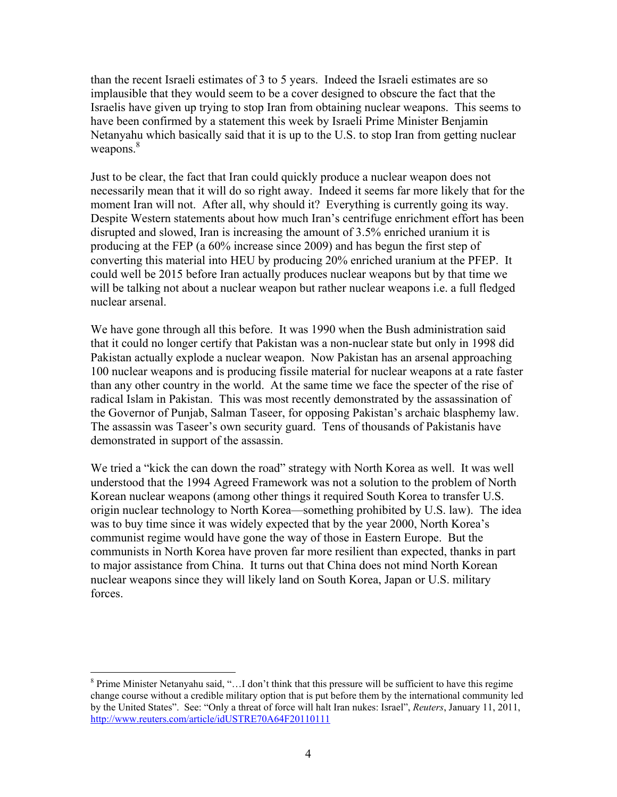than the recent Israeli estimates of 3 to 5 years. Indeed the Israeli estimates are so implausible that they would seem to be a cover designed to obscure the fact that the Israelis have given up trying to stop Iran from obtaining nuclear weapons. This seems to have been confirmed by a statement this week by Israeli Prime Minister Benjamin Netanyahu which basically said that it is up to the U.S. to stop Iran from getting nuclear weapons.<sup>8</sup>

Just to be clear, the fact that Iran could quickly produce a nuclear weapon does not necessarily mean that it will do so right away. Indeed it seems far more likely that for the moment Iran will not. After all, why should it? Everything is currently going its way. Despite Western statements about how much Iran's centrifuge enrichment effort has been disrupted and slowed, Iran is increasing the amount of 3.5% enriched uranium it is producing at the FEP (a 60% increase since 2009) and has begun the first step of converting this material into HEU by producing 20% enriched uranium at the PFEP. It could well be 2015 before Iran actually produces nuclear weapons but by that time we will be talking not about a nuclear weapon but rather nuclear weapons i.e. a full fledged nuclear arsenal.

We have gone through all this before. It was 1990 when the Bush administration said that it could no longer certify that Pakistan was a non-nuclear state but only in 1998 did Pakistan actually explode a nuclear weapon. Now Pakistan has an arsenal approaching 100 nuclear weapons and is producing fissile material for nuclear weapons at a rate faster than any other country in the world. At the same time we face the specter of the rise of radical Islam in Pakistan. This was most recently demonstrated by the assassination of the Governor of Punjab, Salman Taseer, for opposing Pakistan's archaic blasphemy law. The assassin was Taseer's own security guard. Tens of thousands of Pakistanis have demonstrated in support of the assassin.

We tried a "kick the can down the road" strategy with North Korea as well. It was well understood that the 1994 Agreed Framework was not a solution to the problem of North Korean nuclear weapons (among other things it required South Korea to transfer U.S. origin nuclear technology to North Korea—something prohibited by U.S. law). The idea was to buy time since it was widely expected that by the year 2000, North Korea's communist regime would have gone the way of those in Eastern Europe. But the communists in North Korea have proven far more resilient than expected, thanks in part to major assistance from China. It turns out that China does not mind North Korean nuclear weapons since they will likely land on South Korea, Japan or U.S. military forces.

 $\overline{a}$ 

<sup>&</sup>lt;sup>8</sup> Prime Minister Netanyahu said, "... I don't think that this pressure will be sufficient to have this regime change course without a credible military option that is put before them by the international community led by the United States". See: "Only a threat of force will halt Iran nukes: Israel", *Reuters*, January 11, 2011, http://www.reuters.com/article/idUSTRE70A64F20110111